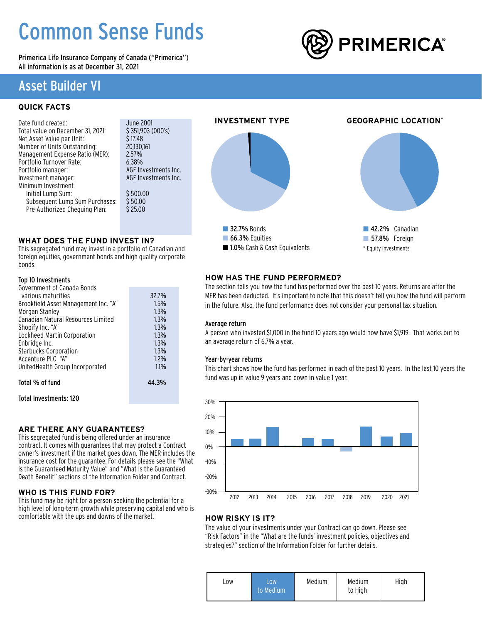# Common Sense Funds

Primerica Life Insurance Company of Canada ("Primerica") All information is as at December 31, 2021

## Asset Builder VI

### **QUICK FACTS**

| Date fund created:                | June 2001              |
|-----------------------------------|------------------------|
| Total value on December 31, 2021: | \$351,903(000's)       |
| Net Asset Value per Unit:         | \$17.48                |
| Number of Units Outstanding:      | 20,130,161             |
| Management Expense Ratio (MER):   | 2.57%                  |
| Portfolio Turnover Rate:          | 6.38%                  |
| Portfolio manager:                | <b>AGF Investments</b> |
| Investment manager:               | <b>AGF Investments</b> |
| Minimum Investment                |                        |
| Initial Lump Sum:                 | \$500.00               |
| Subsequent Lump Sum Purchases:    | \$50.00                |
| Pre-Authorized Chequing Plan:     | \$25.00                |
|                                   |                        |

### **WHAT DOES THE FUND INVEST IN?**

This segregated fund may invest in a portfolio of Canadian and foreign equities, government bonds and high quality corporate bonds.

### Top 10 Investments

| Government of Canada Bonds           |       |
|--------------------------------------|-------|
| various maturities                   | 32.7% |
| Brookfield Asset Management Inc. "A" | 1.5%  |
| Morgan Stanley                       | 1.3%  |
| Canadian Natural Resources Limited   | 1.3%  |
| Shopify Inc. "A"                     | 1.3%  |
| Lockheed Martin Corporation          | 1.3%  |
| Enbridge Inc.                        | 1.3%  |
| <b>Starbucks Corporation</b>         | 1.3%  |
| Accenture PLC "A"                    | 1.2%  |
| UnitedHealth Group Incorporated      | 1.1%  |
|                                      |       |
| Total % of fund                      | 44.3% |
| Total Investments: 120               |       |
|                                      |       |

**ARE THERE ANY GUARANTEES?** This segregated fund is being offered under an insurance contract. It comes with guarantees that may protect a Contract owner's investment if the market goes down. The MER includes the

insurance cost for the guarantee. For details please see the "What is the Guaranteed Maturity Value" and "What is the Guaranteed Death Benefit" sections of the Information Folder and Contract.

### **WHO IS THIS FUND FOR?**

This fund may be right for a person seeking the potential for a high level of long-term growth while preserving capital and who is comfortable with the ups and downs of the market.



### **HOW HAS THE FUND PERFORMED?**

The section tells you how the fund has performed over the past 10 years. Returns are after the MER has been deducted. It's important to note that this doesn't tell you how the fund will perform in the future. Also, the fund performance does not consider your personal tax situation.

### Average return

A person who invested \$1,000 in the fund 10 years ago would now have \$1,919. That works out to an average return of 6.7% a year.

### Year-by-year returns

This chart shows how the fund has performed in each of the past 10 years. In the last 10 years the fund was up in value 9 years and down in value 1 year.



### **HOW RISKY IS IT?**

The value of your investments under your Contract can go down. Please see "Risk Factors" in the "What are the funds' investment policies, objectives and strategies?" section of the Information Folder for further details.

| LOW | LOW.<br>to Medium | Medium | Medium<br>to High | High |
|-----|-------------------|--------|-------------------|------|
|-----|-------------------|--------|-------------------|------|